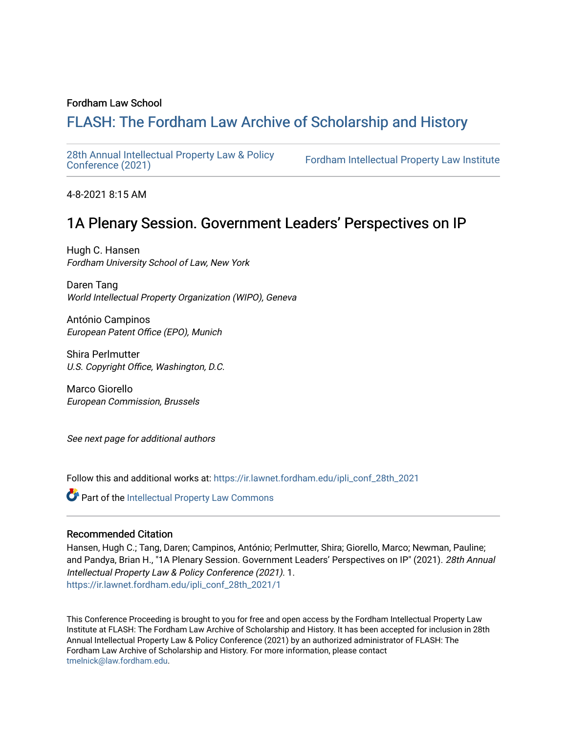### Fordham Law School

# FLASH: The For[dham Law Archive of Scholarship and Hist](https://ir.lawnet.fordham.edu/)ory

[28th Annual Intellectual Property Law & Policy](https://ir.lawnet.fordham.edu/ipli_conf_28th_2021)<br>Conference (2021)

Fordham Intellectual Property Law Institute

4-8-2021 8:15 AM

## 1A Plenary Session. Government Leaders' Perspectives on IP

Hugh C. Hansen Fordham University School of Law, New York

Daren Tang World Intellectual Property Organization (WIPO), Geneva

António Campinos European Patent Office (EPO), Munich

Shira Perlmutter U.S. Copyright Office, Washington, D.C.

Marco Giorello European Commission, Brussels

See next page for additional authors

Follow this and additional works at: [https://ir.lawnet.fordham.edu/ipli\\_conf\\_28th\\_2021](https://ir.lawnet.fordham.edu/ipli_conf_28th_2021?utm_source=ir.lawnet.fordham.edu%2Fipli_conf_28th_2021%2F1&utm_medium=PDF&utm_campaign=PDFCoverPages) 

**Part of the Intellectual Property Law Commons** 

#### Recommended Citation

Hansen, Hugh C.; Tang, Daren; Campinos, António; Perlmutter, Shira; Giorello, Marco; Newman, Pauline; and Pandya, Brian H., "1A Plenary Session. Government Leaders' Perspectives on IP" (2021). 28th Annual Intellectual Property Law & Policy Conference (2021). 1. [https://ir.lawnet.fordham.edu/ipli\\_conf\\_28th\\_2021/1](https://ir.lawnet.fordham.edu/ipli_conf_28th_2021/1?utm_source=ir.lawnet.fordham.edu%2Fipli_conf_28th_2021%2F1&utm_medium=PDF&utm_campaign=PDFCoverPages) 

This Conference Proceeding is brought to you for free and open access by the Fordham Intellectual Property Law Institute at FLASH: The Fordham Law Archive of Scholarship and History. It has been accepted for inclusion in 28th Annual Intellectual Property Law & Policy Conference (2021) by an authorized administrator of FLASH: The Fordham Law Archive of Scholarship and History. For more information, please contact [tmelnick@law.fordham.edu](mailto:tmelnick@law.fordham.edu).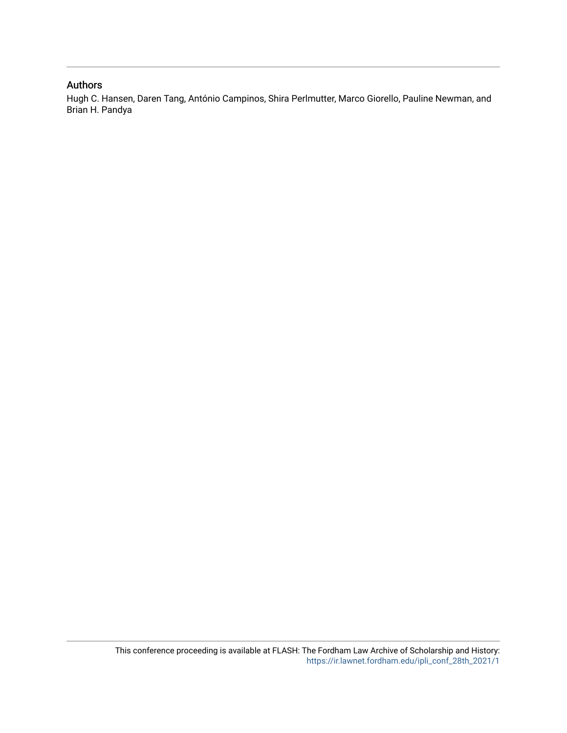## Authors

Hugh C. Hansen, Daren Tang, António Campinos, Shira Perlmutter, Marco Giorello, Pauline Newman, and Brian H. Pandya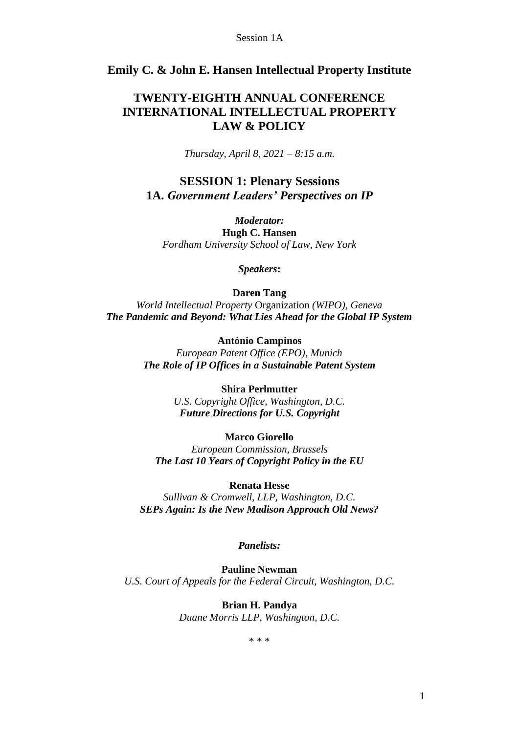## **Emily C. & John E. Hansen Intellectual Property Institute**

## **TWENTY-EIGHTH ANNUAL CONFERENCE INTERNATIONAL INTELLECTUAL PROPERTY LAW & POLICY**

*Thursday, April 8, 2021 – 8:15 a.m.*

**SESSION 1: Plenary Sessions 1A.** *Government Leaders' Perspectives on IP*

*Moderator:*

**Hugh C. Hansen** *Fordham University School of Law, New York*

*Speakers***:**

**Daren Tang**

*World Intellectual Property* Organization *(WIPO), Geneva The Pandemic and Beyond: What Lies Ahead for the Global IP System*

> **António Campinos** *European Patent Office (EPO), Munich The Role of IP Offices in a Sustainable Patent System*

> > **Shira Perlmutter** *U.S. Copyright Office, Washington, D.C. Future Directions for U.S. Copyright*

**Marco Giorello** *European Commission, Brussels The Last 10 Years of Copyright Policy in the EU*

**Renata Hesse** *Sullivan & Cromwell, LLP, Washington, D.C. SEPs Again: Is the New Madison Approach Old News?*

*Panelists:*

**Pauline Newman** *U.S. Court of Appeals for the Federal Circuit, Washington, D.C.*

> **Brian H. Pandya** *Duane Morris LLP, Washington, D.C.*

> > \* \* \*

1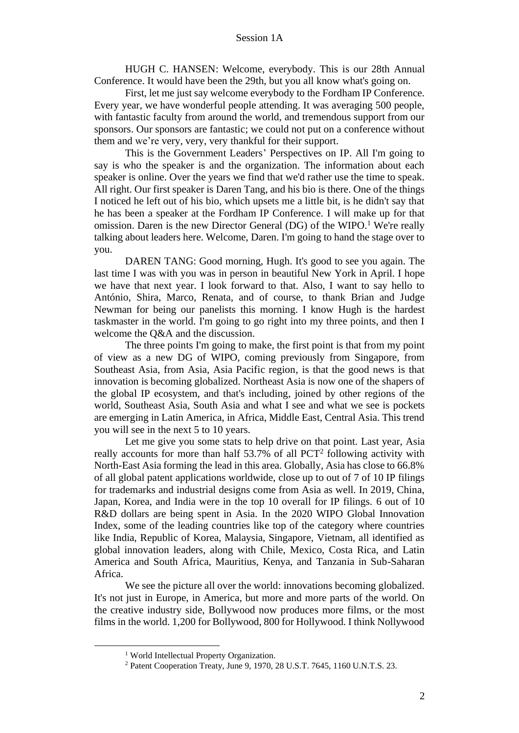HUGH C. HANSEN: Welcome, everybody. This is our 28th Annual Conference. It would have been the 29th, but you all know what's going on.

First, let me just say welcome everybody to the Fordham IP Conference. Every year, we have wonderful people attending. It was averaging 500 people, with fantastic faculty from around the world, and tremendous support from our sponsors. Our sponsors are fantastic; we could not put on a conference without them and we're very, very, very thankful for their support.

This is the Government Leaders' Perspectives on IP. All I'm going to say is who the speaker is and the organization. The information about each speaker is online. Over the years we find that we'd rather use the time to speak. All right. Our first speaker is Daren Tang, and his bio is there. One of the things I noticed he left out of his bio, which upsets me a little bit, is he didn't say that he has been a speaker at the Fordham IP Conference. I will make up for that omission. Daren is the new Director General (DG) of the WIPO.<sup>1</sup> We're really talking about leaders here. Welcome, Daren. I'm going to hand the stage over to you.

DAREN TANG: Good morning, Hugh. It's good to see you again. The last time I was with you was in person in beautiful New York in April. I hope we have that next year. I look forward to that. Also, I want to say hello to António, Shira, Marco, Renata, and of course, to thank Brian and Judge Newman for being our panelists this morning. I know Hugh is the hardest taskmaster in the world. I'm going to go right into my three points, and then I welcome the Q&A and the discussion.

The three points I'm going to make, the first point is that from my point of view as a new DG of WIPO, coming previously from Singapore, from Southeast Asia, from Asia, Asia Pacific region, is that the good news is that innovation is becoming globalized. Northeast Asia is now one of the shapers of the global IP ecosystem, and that's including, joined by other regions of the world, Southeast Asia, South Asia and what I see and what we see is pockets are emerging in Latin America, in Africa, Middle East, Central Asia. This trend you will see in the next 5 to 10 years.

Let me give you some stats to help drive on that point. Last year, Asia really accounts for more than half  $53.7\%$  of all PCT<sup>2</sup> following activity with North-East Asia forming the lead in this area. Globally, Asia has close to 66.8% of all global patent applications worldwide, close up to out of 7 of 10 IP filings for trademarks and industrial designs come from Asia as well. In 2019, China, Japan, Korea, and India were in the top 10 overall for IP filings. 6 out of 10 R&D dollars are being spent in Asia. In the 2020 WIPO Global Innovation Index, some of the leading countries like top of the category where countries like India, Republic of Korea, Malaysia, Singapore, Vietnam, all identified as global innovation leaders, along with Chile, Mexico, Costa Rica, and Latin America and South Africa, Mauritius, Kenya, and Tanzania in Sub-Saharan Africa.

We see the picture all over the world: innovations becoming globalized. It's not just in Europe, in America, but more and more parts of the world. On the creative industry side, Bollywood now produces more films, or the most films in the world. 1,200 for Bollywood, 800 for Hollywood. I think Nollywood

<sup>&</sup>lt;sup>1</sup> World Intellectual Property Organization.

<sup>2</sup> Patent Cooperation Treaty, June 9, 1970, 28 U.S.T. 7645, 1160 U.N.T.S. 23.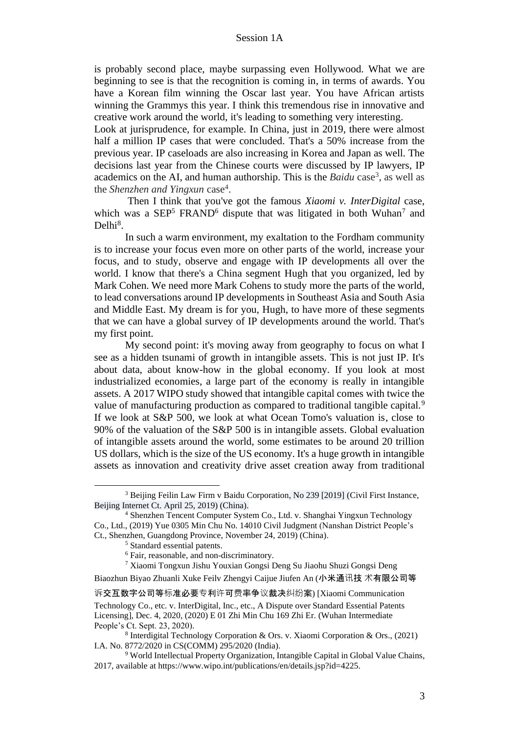is probably second place, maybe surpassing even Hollywood. What we are beginning to see is that the recognition is coming in, in terms of awards. You have a Korean film winning the Oscar last year. You have African artists winning the Grammys this year. I think this tremendous rise in innovative and creative work around the world, it's leading to something very interesting.

Look at jurisprudence, for example. In China, just in 2019, there were almost half a million IP cases that were concluded. That's a 50% increase from the previous year. IP caseloads are also increasing in Korea and Japan as well. The decisions last year from the Chinese courts were discussed by IP lawyers, IP academics on the AI, and human authorship. This is the *Baidu* case<sup>3</sup>, as well as the *Shenzhen and Yingxun* case<sup>4</sup>.

Then I think that you've got the famous *Xiaomi v. InterDigital* case, which was a  $SEP<sup>5</sup> FRAND<sup>6</sup>$  dispute that was litigated in both Wuhan<sup>7</sup> and Delhi<sup>8</sup>.

In such a warm environment, my exaltation to the Fordham community is to increase your focus even more on other parts of the world, increase your focus, and to study, observe and engage with IP developments all over the world. I know that there's a China segment Hugh that you organized, led by Mark Cohen. We need more Mark Cohens to study more the parts of the world, to lead conversations around IP developments in Southeast Asia and South Asia and Middle East. My dream is for you, Hugh, to have more of these segments that we can have a global survey of IP developments around the world. That's my first point.

My second point: it's moving away from geography to focus on what I see as a hidden tsunami of growth in intangible assets. This is not just IP. It's about data, about know-how in the global economy. If you look at most industrialized economies, a large part of the economy is really in intangible assets. A 2017 WIPO study showed that intangible capital comes with twice the value of manufacturing production as compared to traditional tangible capital.<sup>9</sup> If we look at S&P 500, we look at what Ocean Tomo's valuation is, close to 90% of the valuation of the S&P 500 is in intangible assets. Global evaluation of intangible assets around the world, some estimates to be around 20 trillion US dollars, which is the size of the US economy. It's a huge growth in intangible assets as innovation and creativity drive asset creation away from traditional

Biaozhun Biyao Zhuanli Xuke Feilv Zhengyi Caijue Jiufen An (小米通讯技 术有限公司等

<sup>3</sup> Beijing Feilin Law Firm v Baidu Corporation, No 239 [2019] (Civil First Instance, Beijing Internet Ct. April 25, 2019) (China).

<sup>4</sup> Shenzhen Tencent Computer System Co., Ltd. v. Shanghai Yingxun Technology Co., Ltd., (2019) Yue 0305 Min Chu No. 14010 Civil Judgment (Nanshan District People's Ct., Shenzhen, Guangdong Province, November 24, 2019) (China).

<sup>5</sup> Standard essential patents.

<sup>6</sup> Fair, reasonable, and non-discriminatory.

<sup>7</sup> Xiaomi Tongxun Jishu Youxian Gongsi Deng Su Jiaohu Shuzi Gongsi Deng

诉交互数字公司等标准必要专利许可费率争议裁决纠纷案) [Xiaomi Communication Technology Co., etc. v. InterDigital, Inc., etc., A Dispute over Standard Essential Patents Licensing], Dec. 4, 2020, (2020) E 01 Zhi Min Chu 169 Zhi Er. (Wuhan Intermediate People's Ct. Sept. 23, 2020).

<sup>8</sup> Interdigital Technology Corporation & Ors. v. Xiaomi Corporation & Ors., (2021) I.A. No. 8772/2020 in CS(COMM) 295/2020 (India).

<sup>&</sup>lt;sup>9</sup> World Intellectual Property Organization, Intangible Capital in Global Value Chains, 2017, available at https://www.wipo.int/publications/en/details.jsp?id=4225.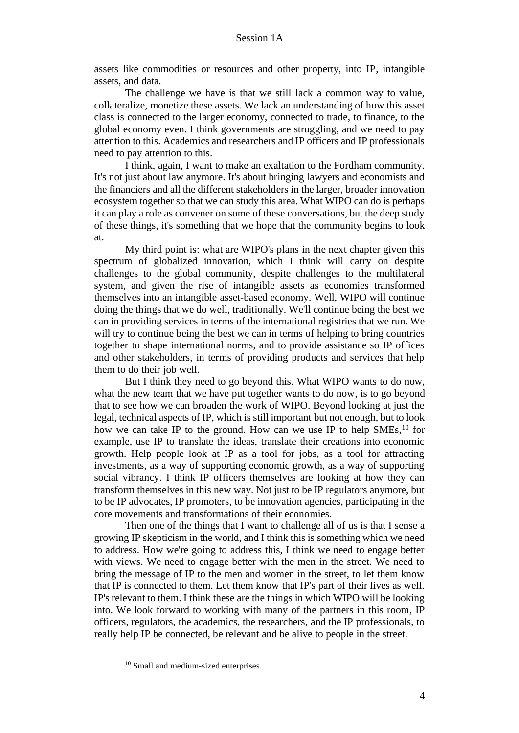assets like commodities or resources and other property, into IP, intangible assets, and data.

The challenge we have is that we still lack a common way to value, collateralize, monetize these assets. We lack an understanding of how this asset class is connected to the larger economy, connected to trade, to finance, to the global economy even. I think governments are struggling, and we need to pay attention to this. Academics and researchers and IP officers and IP professionals need to pay attention to this.

I think, again, I want to make an exaltation to the Fordham community. It's not just about law anymore. It's about bringing lawyers and economists and the financiers and all the different stakeholders in the larger, broader innovation ecosystem together so that we can study this area. What WIPO can do is perhaps it can play a role as convener on some of these conversations, but the deep study of these things, it's something that we hope that the community begins to look at.

My third point is: what are WIPO's plans in the next chapter given this spectrum of globalized innovation, which I think will carry on despite challenges to the global community, despite challenges to the multilateral system, and given the rise of intangible assets as economies transformed themselves into an intangible asset-based economy. Well, WIPO will continue doing the things that we do well, traditionally. We'll continue being the best we can in providing services in terms of the international registries that we run. We will try to continue being the best we can in terms of helping to bring countries together to shape international norms, and to provide assistance so IP offices and other stakeholders, in terms of providing products and services that help them to do their job well.

But I think they need to go beyond this. What WIPO wants to do now, what the new team that we have put together wants to do now, is to go beyond that to see how we can broaden the work of WIPO. Beyond looking at just the legal, technical aspects of IP, which is still important but not enough, but to look how we can take IP to the ground. How can we use IP to help  $SMEs$ , <sup>10</sup> for example, use IP to translate the ideas, translate their creations into economic growth. Help people look at IP as a tool for jobs, as a tool for attracting investments, as a way of supporting economic growth, as a way of supporting social vibrancy. I think IP officers themselves are looking at how they can transform themselves in this new way. Not just to be IP regulators anymore, but to be IP advocates, IP promoters, to be innovation agencies, participating in the core movements and transformations of their economies.

Then one of the things that I want to challenge all of us is that I sense a growing IP skepticism in the world, and I think this is something which we need to address. How we're going to address this, I think we need to engage better with views. We need to engage better with the men in the street. We need to bring the message of IP to the men and women in the street, to let them know that IP is connected to them. Let them know that IP's part of their lives as well. IP's relevant to them. I think these are the things in which WIPO will be looking into. We look forward to working with many of the partners in this room, IP officers, regulators, the academics, the researchers, and the IP professionals, to really help IP be connected, be relevant and be alive to people in the street.

<sup>&</sup>lt;sup>10</sup> Small and medium-sized enterprises.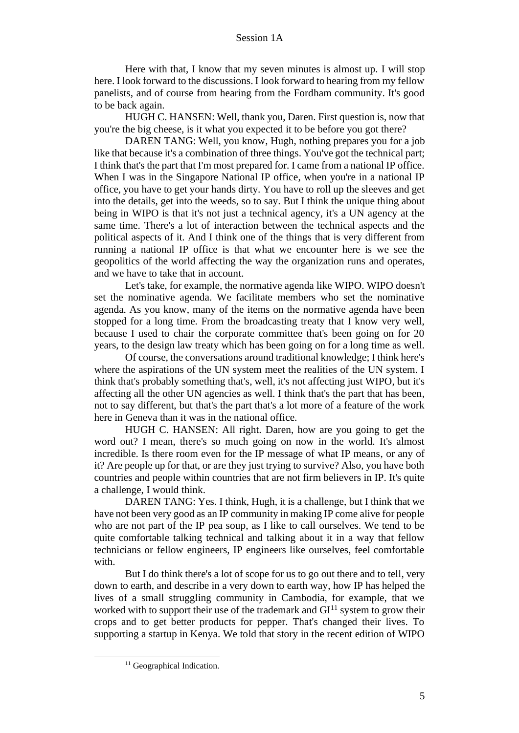Here with that, I know that my seven minutes is almost up. I will stop here. I look forward to the discussions. I look forward to hearing from my fellow panelists, and of course from hearing from the Fordham community. It's good to be back again.

HUGH C. HANSEN: Well, thank you, Daren. First question is, now that you're the big cheese, is it what you expected it to be before you got there?

DAREN TANG: Well, you know, Hugh, nothing prepares you for a job like that because it's a combination of three things. You've got the technical part; I think that's the part that I'm most prepared for. I came from a national IP office. When I was in the Singapore National IP office, when you're in a national IP office, you have to get your hands dirty. You have to roll up the sleeves and get into the details, get into the weeds, so to say. But I think the unique thing about being in WIPO is that it's not just a technical agency, it's a UN agency at the same time. There's a lot of interaction between the technical aspects and the political aspects of it. And I think one of the things that is very different from running a national IP office is that what we encounter here is we see the geopolitics of the world affecting the way the organization runs and operates, and we have to take that in account.

Let's take, for example, the normative agenda like WIPO. WIPO doesn't set the nominative agenda. We facilitate members who set the nominative agenda. As you know, many of the items on the normative agenda have been stopped for a long time. From the broadcasting treaty that I know very well, because I used to chair the corporate committee that's been going on for 20 years, to the design law treaty which has been going on for a long time as well.

Of course, the conversations around traditional knowledge; I think here's where the aspirations of the UN system meet the realities of the UN system. I think that's probably something that's, well, it's not affecting just WIPO, but it's affecting all the other UN agencies as well. I think that's the part that has been, not to say different, but that's the part that's a lot more of a feature of the work here in Geneva than it was in the national office.

HUGH C. HANSEN: All right. Daren, how are you going to get the word out? I mean, there's so much going on now in the world. It's almost incredible. Is there room even for the IP message of what IP means, or any of it? Are people up for that, or are they just trying to survive? Also, you have both countries and people within countries that are not firm believers in IP. It's quite a challenge, I would think.

DAREN TANG: Yes. I think, Hugh, it is a challenge, but I think that we have not been very good as an IP community in making IP come alive for people who are not part of the IP pea soup, as I like to call ourselves. We tend to be quite comfortable talking technical and talking about it in a way that fellow technicians or fellow engineers, IP engineers like ourselves, feel comfortable with.

But I do think there's a lot of scope for us to go out there and to tell, very down to earth, and describe in a very down to earth way, how IP has helped the lives of a small struggling community in Cambodia, for example, that we worked with to support their use of the trademark and  $GI<sup>11</sup>$  system to grow their crops and to get better products for pepper. That's changed their lives. To supporting a startup in Kenya. We told that story in the recent edition of WIPO

<sup>&</sup>lt;sup>11</sup> Geographical Indication.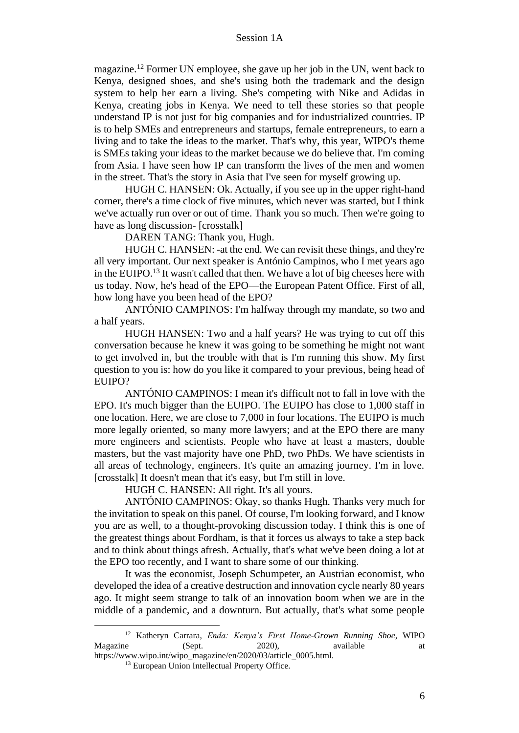magazine.<sup>12</sup> Former UN employee, she gave up her job in the UN, went back to Kenya, designed shoes, and she's using both the trademark and the design system to help her earn a living. She's competing with Nike and Adidas in Kenya, creating jobs in Kenya. We need to tell these stories so that people understand IP is not just for big companies and for industrialized countries. IP is to help SMEs and entrepreneurs and startups, female entrepreneurs, to earn a living and to take the ideas to the market. That's why, this year, WIPO's theme is SMEs taking your ideas to the market because we do believe that. I'm coming from Asia. I have seen how IP can transform the lives of the men and women in the street. That's the story in Asia that I've seen for myself growing up.

HUGH C. HANSEN: Ok. Actually, if you see up in the upper right-hand corner, there's a time clock of five minutes, which never was started, but I think we've actually run over or out of time. Thank you so much. Then we're going to have as long discussion- [crosstalk]

DAREN TANG: Thank you, Hugh.

HUGH C. HANSEN: -at the end. We can revisit these things, and they're all very important. Our next speaker is António Campinos, who I met years ago in the EUIPO.<sup>13</sup> It wasn't called that then. We have a lot of big cheeses here with us today. Now, he's head of the EPO—the European Patent Office. First of all, how long have you been head of the EPO?

ANTÓNIO CAMPINOS: I'm halfway through my mandate, so two and a half years.

HUGH HANSEN: Two and a half years? He was trying to cut off this conversation because he knew it was going to be something he might not want to get involved in, but the trouble with that is I'm running this show. My first question to you is: how do you like it compared to your previous, being head of EUIPO?

ANTÓNIO CAMPINOS: I mean it's difficult not to fall in love with the EPO. It's much bigger than the EUIPO. The EUIPO has close to 1,000 staff in one location. Here, we are close to 7,000 in four locations. The EUIPO is much more legally oriented, so many more lawyers; and at the EPO there are many more engineers and scientists. People who have at least a masters, double masters, but the vast majority have one PhD, two PhDs. We have scientists in all areas of technology, engineers. It's quite an amazing journey. I'm in love. [crosstalk] It doesn't mean that it's easy, but I'm still in love.

HUGH C. HANSEN: All right. It's all yours.

ANTÓNIO CAMPINOS: Okay, so thanks Hugh. Thanks very much for the invitation to speak on this panel. Of course, I'm looking forward, and I know you are as well, to a thought-provoking discussion today. I think this is one of the greatest things about Fordham, is that it forces us always to take a step back and to think about things afresh. Actually, that's what we've been doing a lot at the EPO too recently, and I want to share some of our thinking.

It was the economist, Joseph Schumpeter, an Austrian economist, who developed the idea of a creative destruction and innovation cycle nearly 80 years ago. It might seem strange to talk of an innovation boom when we are in the middle of a pandemic, and a downturn. But actually, that's what some people

<sup>12</sup> Katheryn Carrara, *Enda: Kenya's First Home-Grown Running Shoe*, WIPO Magazine (Sept. 2020), available at https://www.wipo.int/wipo\_magazine/en/2020/03/article\_0005.html.

<sup>&</sup>lt;sup>13</sup> European Union Intellectual Property Office.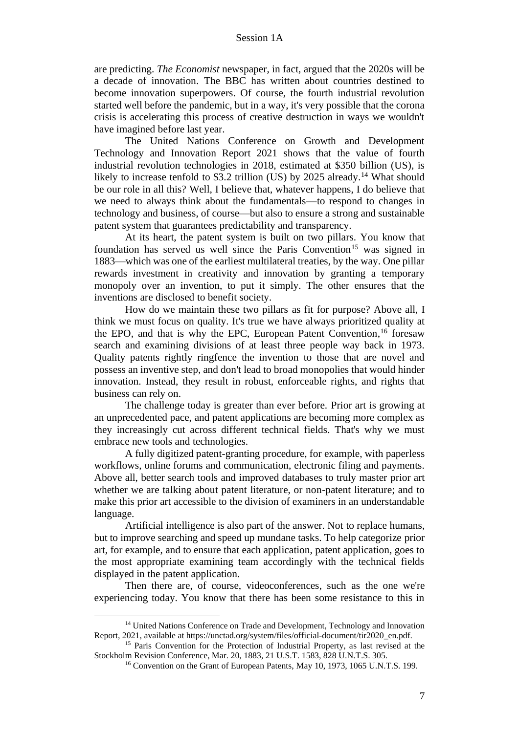are predicting. *The Economist* newspaper, in fact, argued that the 2020s will be a decade of innovation. The BBC has written about countries destined to become innovation superpowers. Of course, the fourth industrial revolution started well before the pandemic, but in a way, it's very possible that the corona crisis is accelerating this process of creative destruction in ways we wouldn't have imagined before last year.

The United Nations Conference on Growth and Development Technology and Innovation Report 2021 shows that the value of fourth industrial revolution technologies in 2018, estimated at \$350 billion (US), is likely to increase tenfold to \$3.2 trillion (US) by 2025 already.<sup>14</sup> What should be our role in all this? Well, I believe that, whatever happens, I do believe that we need to always think about the fundamentals—to respond to changes in technology and business, of course—but also to ensure a strong and sustainable patent system that guarantees predictability and transparency.

At its heart, the patent system is built on two pillars. You know that foundation has served us well since the Paris Convention<sup>15</sup> was signed in 1883—which was one of the earliest multilateral treaties, by the way. One pillar rewards investment in creativity and innovation by granting a temporary monopoly over an invention, to put it simply. The other ensures that the inventions are disclosed to benefit society.

How do we maintain these two pillars as fit for purpose? Above all, I think we must focus on quality. It's true we have always prioritized quality at the EPO, and that is why the EPC, European Patent Convention, <sup>16</sup> foresaw search and examining divisions of at least three people way back in 1973. Quality patents rightly ringfence the invention to those that are novel and possess an inventive step, and don't lead to broad monopolies that would hinder innovation. Instead, they result in robust, enforceable rights, and rights that business can rely on.

The challenge today is greater than ever before. Prior art is growing at an unprecedented pace, and patent applications are becoming more complex as they increasingly cut across different technical fields. That's why we must embrace new tools and technologies.

A fully digitized patent-granting procedure, for example, with paperless workflows, online forums and communication, electronic filing and payments. Above all, better search tools and improved databases to truly master prior art whether we are talking about patent literature, or non-patent literature; and to make this prior art accessible to the division of examiners in an understandable language.

Artificial intelligence is also part of the answer. Not to replace humans, but to improve searching and speed up mundane tasks. To help categorize prior art, for example, and to ensure that each application, patent application, goes to the most appropriate examining team accordingly with the technical fields displayed in the patent application.

Then there are, of course, videoconferences, such as the one we're experiencing today. You know that there has been some resistance to this in

<sup>&</sup>lt;sup>14</sup> United Nations Conference on Trade and Development, Technology and Innovation Report, 2021, available at https://unctad.org/system/files/official-document/tir2020\_en.pdf.

<sup>&</sup>lt;sup>15</sup> Paris Convention for the Protection of Industrial Property, as last revised at the Stockholm Revision Conference, Mar. 20, 1883, 21 U.S.T. 1583, 828 U.N.T.S. 305.

<sup>&</sup>lt;sup>16</sup> Convention on the Grant of European Patents, May 10, 1973, 1065 U.N.T.S. 199.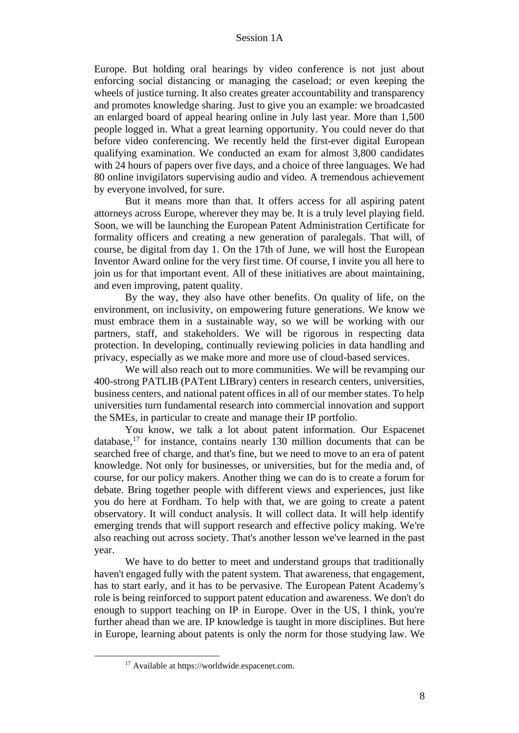Europe. But holding oral hearings by video conference is not just about enforcing social distancing or managing the caseload; or even keeping the wheels of justice turning. It also creates greater accountability and transparency and promotes knowledge sharing. Just to give you an example: we broadcasted an enlarged board of appeal hearing online in July last year. More than 1,500 people logged in. What a great learning opportunity. You could never do that before video conferencing. We recently held the first-ever digital European qualifying examination. We conducted an exam for almost 3,800 candidates with 24 hours of papers over five days, and a choice of three languages. We had 80 online invigilators supervising audio and video. A tremendous achievement by everyone involved, for sure.

But it means more than that. It offers access for all aspiring patent attorneys across Europe, wherever they may be. It is a truly level playing field. Soon, we will be launching the European Patent Administration Certificate for formality officers and creating a new generation of paralegals. That will, of course, be digital from day 1. On the 17th of June, we will host the European Inventor Award online for the very first time. Of course, I invite you all here to join us for that important event. All of these initiatives are about maintaining, and even improving, patent quality.

By the way, they also have other benefits. On quality of life, on the environment, on inclusivity, on empowering future generations. We know we must embrace them in a sustainable way, so we will be working with our partners, staff, and stakeholders. We will be rigorous in respecting data protection. In developing, continually reviewing policies in data handling and privacy, especially as we make more and more use of cloud-based services.

We will also reach out to more communities. We will be revamping our 400-strong PATLIB (PATent LIBrary) centers in research centers, universities, business centers, and national patent offices in all of our member states. To help universities turn fundamental research into commercial innovation and support the SMEs, in particular to create and manage their IP portfolio.

You know, we talk a lot about patent information. Our Espacenet database,<sup>17</sup> for instance, contains nearly 130 million documents that can be searched free of charge, and that's fine, but we need to move to an era of patent knowledge. Not only for businesses, or universities, but for the media and, of course, for our policy makers. Another thing we can do is to create a forum for debate. Bring together people with different views and experiences, just like you do here at Fordham. To help with that, we are going to create a patent observatory. It will conduct analysis. It will collect data. It will help identify emerging trends that will support research and effective policy making. We're also reaching out across society. That's another lesson we've learned in the past year.

We have to do better to meet and understand groups that traditionally haven't engaged fully with the patent system. That awareness, that engagement, has to start early, and it has to be pervasive. The European Patent Academy's role is being reinforced to support patent education and awareness. We don't do enough to support teaching on IP in Europe. Over in the US, I think, you're further ahead than we are. IP knowledge is taught in more disciplines. But here in Europe, learning about patents is only the norm for those studying law. We

<sup>17</sup> Available at https://worldwide.espacenet.com.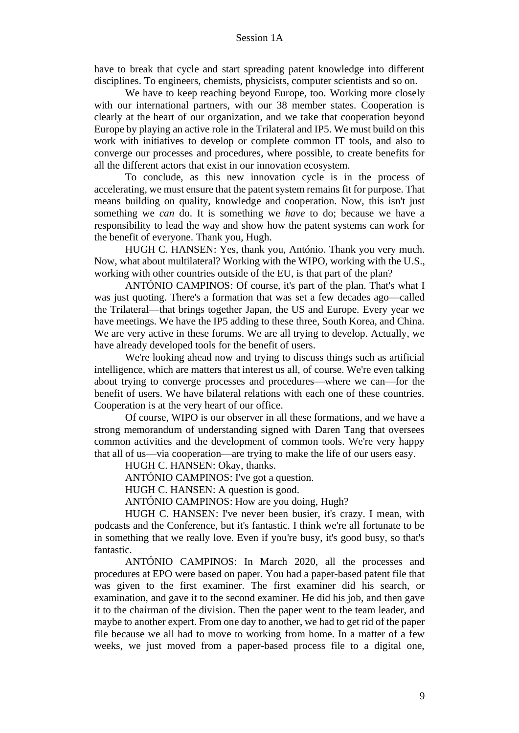have to break that cycle and start spreading patent knowledge into different disciplines. To engineers, chemists, physicists, computer scientists and so on.

We have to keep reaching beyond Europe, too. Working more closely with our international partners, with our 38 member states. Cooperation is clearly at the heart of our organization, and we take that cooperation beyond Europe by playing an active role in the Trilateral and IP5. We must build on this work with initiatives to develop or complete common IT tools, and also to converge our processes and procedures, where possible, to create benefits for all the different actors that exist in our innovation ecosystem.

To conclude, as this new innovation cycle is in the process of accelerating, we must ensure that the patent system remains fit for purpose. That means building on quality, knowledge and cooperation. Now, this isn't just something we *can* do. It is something we *have* to do; because we have a responsibility to lead the way and show how the patent systems can work for the benefit of everyone. Thank you, Hugh.

HUGH C. HANSEN: Yes, thank you, António. Thank you very much. Now, what about multilateral? Working with the WIPO, working with the U.S., working with other countries outside of the EU, is that part of the plan?

ANTÓNIO CAMPINOS: Of course, it's part of the plan. That's what I was just quoting. There's a formation that was set a few decades ago—called the Trilateral—that brings together Japan, the US and Europe. Every year we have meetings. We have the IP5 adding to these three, South Korea, and China. We are very active in these forums. We are all trying to develop. Actually, we have already developed tools for the benefit of users.

We're looking ahead now and trying to discuss things such as artificial intelligence, which are matters that interest us all, of course. We're even talking about trying to converge processes and procedures—where we can—for the benefit of users. We have bilateral relations with each one of these countries. Cooperation is at the very heart of our office.

Of course, WIPO is our observer in all these formations, and we have a strong memorandum of understanding signed with Daren Tang that oversees common activities and the development of common tools. We're very happy that all of us—via cooperation—are trying to make the life of our users easy.

HUGH C. HANSEN: Okay, thanks.

ANTÓNIO CAMPINOS: I've got a question.

HUGH C. HANSEN: A question is good.

ANTÓNIO CAMPINOS: How are you doing, Hugh?

HUGH C. HANSEN: I've never been busier, it's crazy. I mean, with podcasts and the Conference, but it's fantastic. I think we're all fortunate to be in something that we really love. Even if you're busy, it's good busy, so that's fantastic.

ANTÓNIO CAMPINOS: In March 2020, all the processes and procedures at EPO were based on paper. You had a paper-based patent file that was given to the first examiner. The first examiner did his search, or examination, and gave it to the second examiner. He did his job, and then gave it to the chairman of the division. Then the paper went to the team leader, and maybe to another expert. From one day to another, we had to get rid of the paper file because we all had to move to working from home. In a matter of a few weeks, we just moved from a paper-based process file to a digital one,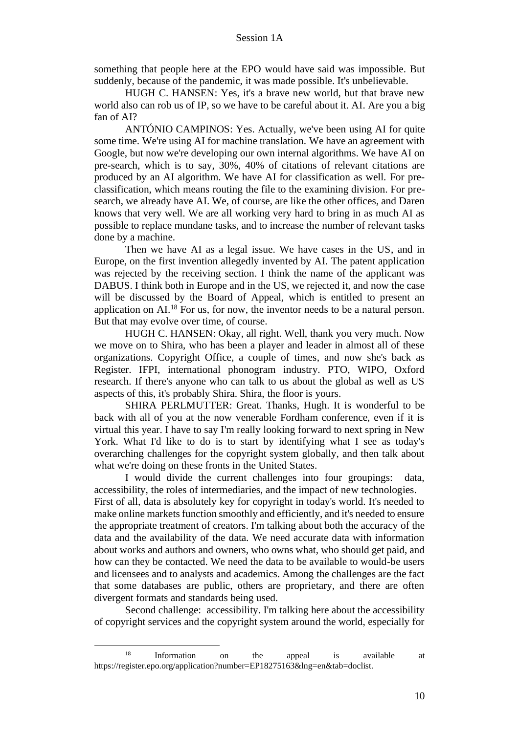something that people here at the EPO would have said was impossible. But suddenly, because of the pandemic, it was made possible. It's unbelievable.

HUGH C. HANSEN: Yes, it's a brave new world, but that brave new world also can rob us of IP, so we have to be careful about it. AI. Are you a big fan of AI?

ANTÓNIO CAMPINOS: Yes. Actually, we've been using AI for quite some time. We're using AI for machine translation. We have an agreement with Google, but now we're developing our own internal algorithms. We have AI on pre-search, which is to say, 30%, 40% of citations of relevant citations are produced by an AI algorithm. We have AI for classification as well. For preclassification, which means routing the file to the examining division. For presearch, we already have AI. We, of course, are like the other offices, and Daren knows that very well. We are all working very hard to bring in as much AI as possible to replace mundane tasks, and to increase the number of relevant tasks done by a machine.

Then we have AI as a legal issue. We have cases in the US, and in Europe, on the first invention allegedly invented by AI. The patent application was rejected by the receiving section. I think the name of the applicant was DABUS. I think both in Europe and in the US, we rejected it, and now the case will be discussed by the Board of Appeal, which is entitled to present an application on AI.<sup>18</sup> For us, for now, the inventor needs to be a natural person. But that may evolve over time, of course.

HUGH C. HANSEN: Okay, all right. Well, thank you very much. Now we move on to Shira, who has been a player and leader in almost all of these organizations. Copyright Office, a couple of times, and now she's back as Register. IFPI, international phonogram industry. PTO, WIPO, Oxford research. If there's anyone who can talk to us about the global as well as US aspects of this, it's probably Shira. Shira, the floor is yours.

SHIRA PERLMUTTER: Great. Thanks, Hugh. It is wonderful to be back with all of you at the now venerable Fordham conference, even if it is virtual this year. I have to say I'm really looking forward to next spring in New York. What I'd like to do is to start by identifying what I see as today's overarching challenges for the copyright system globally, and then talk about what we're doing on these fronts in the United States.

I would divide the current challenges into four groupings: data, accessibility, the roles of intermediaries, and the impact of new technologies. First of all, data is absolutely key for copyright in today's world. It's needed to make online markets function smoothly and efficiently, and it's needed to ensure the appropriate treatment of creators. I'm talking about both the accuracy of the data and the availability of the data. We need accurate data with information about works and authors and owners, who owns what, who should get paid, and how can they be contacted. We need the data to be available to would-be users and licensees and to analysts and academics. Among the challenges are the fact that some databases are public, others are proprietary, and there are often divergent formats and standards being used.

Second challenge: accessibility. I'm talking here about the accessibility of copyright services and the copyright system around the world, especially for

<sup>18</sup> Information on the appeal is available at https://register.epo.org/application?number=EP18275163&lng=en&tab=doclist.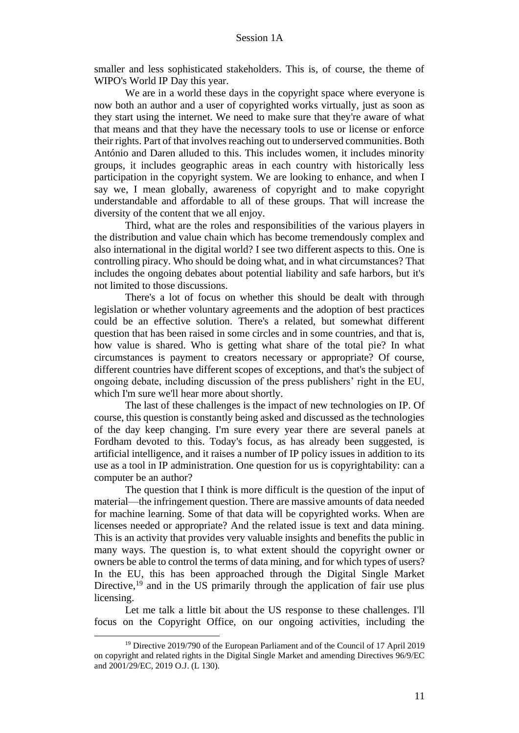smaller and less sophisticated stakeholders. This is, of course, the theme of WIPO's World IP Day this year.

We are in a world these days in the copyright space where everyone is now both an author and a user of copyrighted works virtually, just as soon as they start using the internet. We need to make sure that they're aware of what that means and that they have the necessary tools to use or license or enforce their rights. Part of that involves reaching out to underserved communities. Both António and Daren alluded to this. This includes women, it includes minority groups, it includes geographic areas in each country with historically less participation in the copyright system. We are looking to enhance, and when I say we, I mean globally, awareness of copyright and to make copyright understandable and affordable to all of these groups. That will increase the diversity of the content that we all enjoy.

Third, what are the roles and responsibilities of the various players in the distribution and value chain which has become tremendously complex and also international in the digital world? I see two different aspects to this. One is controlling piracy. Who should be doing what, and in what circumstances? That includes the ongoing debates about potential liability and safe harbors, but it's not limited to those discussions.

There's a lot of focus on whether this should be dealt with through legislation or whether voluntary agreements and the adoption of best practices could be an effective solution. There's a related, but somewhat different question that has been raised in some circles and in some countries, and that is, how value is shared. Who is getting what share of the total pie? In what circumstances is payment to creators necessary or appropriate? Of course, different countries have different scopes of exceptions, and that's the subject of ongoing debate, including discussion of the press publishers' right in the EU, which I'm sure we'll hear more about shortly.

The last of these challenges is the impact of new technologies on IP. Of course, this question is constantly being asked and discussed as the technologies of the day keep changing. I'm sure every year there are several panels at Fordham devoted to this. Today's focus, as has already been suggested, is artificial intelligence, and it raises a number of IP policy issues in addition to its use as a tool in IP administration. One question for us is copyrightability: can a computer be an author?

The question that I think is more difficult is the question of the input of material—the infringement question. There are massive amounts of data needed for machine learning. Some of that data will be copyrighted works. When are licenses needed or appropriate? And the related issue is text and data mining. This is an activity that provides very valuable insights and benefits the public in many ways. The question is, to what extent should the copyright owner or owners be able to control the terms of data mining, and for which types of users? In the EU, this has been approached through the Digital Single Market Directive,<sup>19</sup> and in the US primarily through the application of fair use plus licensing.

Let me talk a little bit about the US response to these challenges. I'll focus on the Copyright Office, on our ongoing activities, including the

<sup>&</sup>lt;sup>19</sup> Directive 2019/790 of the European Parliament and of the Council of 17 April 2019 on copyright and related rights in the Digital Single Market and amending Directives 96/9/EC and 2001/29/EC, 2019 O.J. (L 130).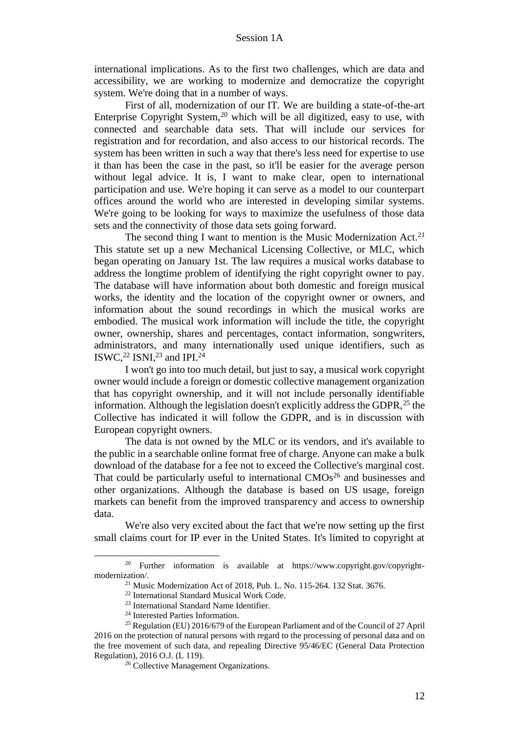international implications. As to the first two challenges, which are data and accessibility, we are working to modernize and democratize the copyright system. We're doing that in a number of ways.

First of all, modernization of our IT. We are building a state-of-the-art Enterprise Copyright System, $20$  which will be all digitized, easy to use, with connected and searchable data sets. That will include our services for registration and for recordation, and also access to our historical records. The system has been written in such a way that there's less need for expertise to use it than has been the case in the past, so it'll be easier for the average person without legal advice. It is, I want to make clear, open to international participation and use. We're hoping it can serve as a model to our counterpart offices around the world who are interested in developing similar systems. We're going to be looking for ways to maximize the usefulness of those data sets and the connectivity of those data sets going forward.

The second thing I want to mention is the Music Modernization Act.<sup>21</sup> This statute set up a new Mechanical Licensing Collective, or MLC, which began operating on January 1st. The law requires a musical works database to address the longtime problem of identifying the right copyright owner to pay. The database will have information about both domestic and foreign musical works, the identity and the location of the copyright owner or owners, and information about the sound recordings in which the musical works are embodied. The musical work information will include the title, the copyright owner, ownership, shares and percentages, contact information, songwriters, administrators, and many internationally used unique identifiers, such as ISWC, $^{22}$  ISNI, $^{23}$  and IPI. $^{24}$ 

I won't go into too much detail, but just to say, a musical work copyright owner would include a foreign or domestic collective management organization that has copyright ownership, and it will not include personally identifiable information. Although the legislation doesn't explicitly address the GDPR,  $^{25}$  the Collective has indicated it will follow the GDPR, and is in discussion with European copyright owners.

The data is not owned by the MLC or its vendors, and it's available to the public in a searchable online format free of charge. Anyone can make a bulk download of the database for a fee not to exceed the Collective's marginal cost. That could be particularly useful to international  $CMOs<sup>26</sup>$  and businesses and other organizations. Although the database is based on US usage, foreign markets can benefit from the improved transparency and access to ownership data.

We're also very excited about the fact that we're now setting up the first small claims court for IP ever in the United States. It's limited to copyright at

<sup>&</sup>lt;sup>20</sup> Further information is available at https://www.copyright.gov/copyrightmodernization/.

<sup>21</sup> Music Modernization Act of 2018, Pub. L. No. 115-264. 132 Stat. 3676.

<sup>22</sup> International Standard Musical Work Code.

<sup>23</sup> International Standard Name Identifier.

<sup>24</sup> Interested Parties Information.

<sup>25</sup> Regulation (EU) 2016/679 of the European Parliament and of the Council of 27 April 2016 on the protection of natural persons with regard to the processing of personal data and on the free movement of such data, and repealing Directive 95/46/EC (General Data Protection Regulation), 2016 O.J. (L 119).

<sup>&</sup>lt;sup>26</sup> Collective Management Organizations.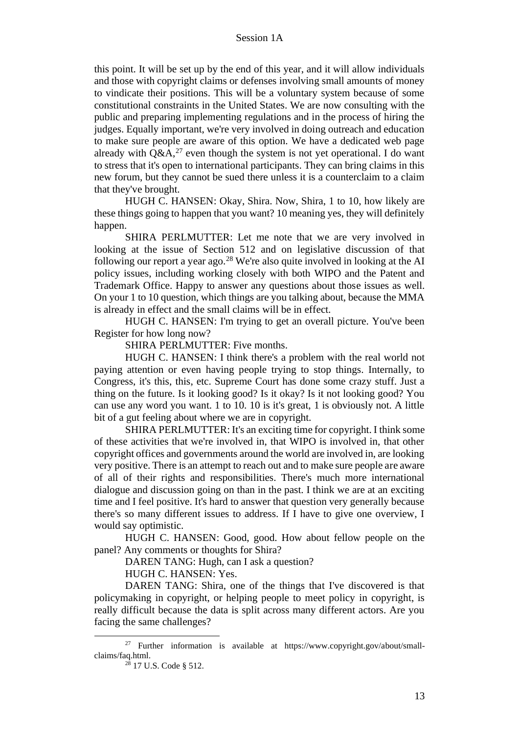this point. It will be set up by the end of this year, and it will allow individuals and those with copyright claims or defenses involving small amounts of money to vindicate their positions. This will be a voluntary system because of some constitutional constraints in the United States. We are now consulting with the public and preparing implementing regulations and in the process of hiring the judges. Equally important, we're very involved in doing outreach and education to make sure people are aware of this option. We have a dedicated web page already with  $Q\&A$ ,<sup>27</sup> even though the system is not yet operational. I do want to stress that it's open to international participants. They can bring claims in this new forum, but they cannot be sued there unless it is a counterclaim to a claim that they've brought.

HUGH C. HANSEN: Okay, Shira. Now, Shira, 1 to 10, how likely are these things going to happen that you want? 10 meaning yes, they will definitely happen.

SHIRA PERLMUTTER: Let me note that we are very involved in looking at the issue of Section 512 and on legislative discussion of that following our report a year ago.<sup>28</sup> We're also quite involved in looking at the AI policy issues, including working closely with both WIPO and the Patent and Trademark Office. Happy to answer any questions about those issues as well. On your 1 to 10 question, which things are you talking about, because the MMA is already in effect and the small claims will be in effect.

HUGH C. HANSEN: I'm trying to get an overall picture. You've been Register for how long now?

SHIRA PERLMUTTER: Five months.

HUGH C. HANSEN: I think there's a problem with the real world not paying attention or even having people trying to stop things. Internally, to Congress, it's this, this, etc. Supreme Court has done some crazy stuff. Just a thing on the future. Is it looking good? Is it okay? Is it not looking good? You can use any word you want. 1 to 10. 10 is it's great, 1 is obviously not. A little bit of a gut feeling about where we are in copyright.

SHIRA PERLMUTTER: It's an exciting time for copyright. I think some of these activities that we're involved in, that WIPO is involved in, that other copyright offices and governments around the world are involved in, are looking very positive. There is an attempt to reach out and to make sure people are aware of all of their rights and responsibilities. There's much more international dialogue and discussion going on than in the past. I think we are at an exciting time and I feel positive. It's hard to answer that question very generally because there's so many different issues to address. If I have to give one overview, I would say optimistic.

HUGH C. HANSEN: Good, good. How about fellow people on the panel? Any comments or thoughts for Shira?

DAREN TANG: Hugh, can I ask a question?

HUGH C. HANSEN: Yes.

DAREN TANG: Shira, one of the things that I've discovered is that policymaking in copyright, or helping people to meet policy in copyright, is really difficult because the data is split across many different actors. Are you facing the same challenges?

<sup>27</sup> Further information is available at https://www.copyright.gov/about/smallclaims/faq.html.

<sup>28</sup> 17 U.S. Code § 512.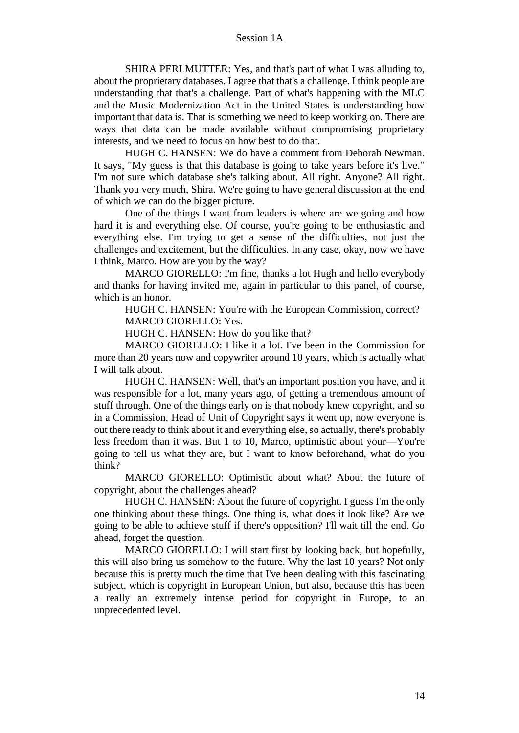SHIRA PERLMUTTER: Yes, and that's part of what I was alluding to, about the proprietary databases. I agree that that's a challenge. I think people are understanding that that's a challenge. Part of what's happening with the MLC and the Music Modernization Act in the United States is understanding how important that data is. That is something we need to keep working on. There are ways that data can be made available without compromising proprietary interests, and we need to focus on how best to do that.

HUGH C. HANSEN: We do have a comment from Deborah Newman. It says, "My guess is that this database is going to take years before it's live." I'm not sure which database she's talking about. All right. Anyone? All right. Thank you very much, Shira. We're going to have general discussion at the end of which we can do the bigger picture.

One of the things I want from leaders is where are we going and how hard it is and everything else. Of course, you're going to be enthusiastic and everything else. I'm trying to get a sense of the difficulties, not just the challenges and excitement, but the difficulties. In any case, okay, now we have I think, Marco. How are you by the way?

MARCO GIORELLO: I'm fine, thanks a lot Hugh and hello everybody and thanks for having invited me, again in particular to this panel, of course, which is an honor.

HUGH C. HANSEN: You're with the European Commission, correct? MARCO GIORELLO: Yes.

HUGH C. HANSEN: How do you like that?

MARCO GIORELLO: I like it a lot. I've been in the Commission for more than 20 years now and copywriter around 10 years, which is actually what I will talk about.

HUGH C. HANSEN: Well, that's an important position you have, and it was responsible for a lot, many years ago, of getting a tremendous amount of stuff through. One of the things early on is that nobody knew copyright, and so in a Commission, Head of Unit of Copyright says it went up, now everyone is out there ready to think about it and everything else, so actually, there's probably less freedom than it was. But 1 to 10, Marco, optimistic about your—You're going to tell us what they are, but I want to know beforehand, what do you think?

MARCO GIORELLO: Optimistic about what? About the future of copyright, about the challenges ahead?

HUGH C. HANSEN: About the future of copyright. I guess I'm the only one thinking about these things. One thing is, what does it look like? Are we going to be able to achieve stuff if there's opposition? I'll wait till the end. Go ahead, forget the question.

MARCO GIORELLO: I will start first by looking back, but hopefully, this will also bring us somehow to the future. Why the last 10 years? Not only because this is pretty much the time that I've been dealing with this fascinating subject, which is copyright in European Union, but also, because this has been a really an extremely intense period for copyright in Europe, to an unprecedented level.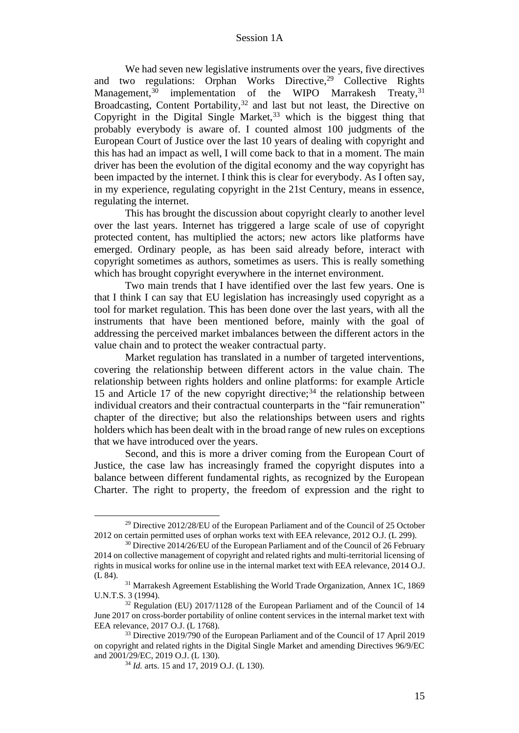We had seven new legislative instruments over the years, five directives and two regulations: Orphan Works Directive,<sup>29</sup> Collective Rights Management,<sup>30</sup> implementation of the WIPO Marrakesh Treaty,<sup>31</sup> implementation of the WIPO Marrakesh Treaty, $31$ Broadcasting, Content Portability,  $32$  and last but not least, the Directive on Copyright in the Digital Single Market,<sup>33</sup> which is the biggest thing that probably everybody is aware of. I counted almost 100 judgments of the European Court of Justice over the last 10 years of dealing with copyright and this has had an impact as well, I will come back to that in a moment. The main driver has been the evolution of the digital economy and the way copyright has been impacted by the internet. I think this is clear for everybody. As I often say, in my experience, regulating copyright in the 21st Century, means in essence, regulating the internet.

This has brought the discussion about copyright clearly to another level over the last years. Internet has triggered a large scale of use of copyright protected content, has multiplied the actors; new actors like platforms have emerged. Ordinary people, as has been said already before, interact with copyright sometimes as authors, sometimes as users. This is really something which has brought copyright everywhere in the internet environment.

Two main trends that I have identified over the last few years. One is that I think I can say that EU legislation has increasingly used copyright as a tool for market regulation. This has been done over the last years, with all the instruments that have been mentioned before, mainly with the goal of addressing the perceived market imbalances between the different actors in the value chain and to protect the weaker contractual party.

Market regulation has translated in a number of targeted interventions, covering the relationship between different actors in the value chain. The relationship between rights holders and online platforms: for example Article 15 and Article 17 of the new copyright directive;<sup>34</sup> the relationship between individual creators and their contractual counterparts in the "fair remuneration" chapter of the directive; but also the relationships between users and rights holders which has been dealt with in the broad range of new rules on exceptions that we have introduced over the years.

Second, and this is more a driver coming from the European Court of Justice, the case law has increasingly framed the copyright disputes into a balance between different fundamental rights, as recognized by the European Charter. The right to property, the freedom of expression and the right to

<sup>29</sup> Directive 2012/28/EU of the European Parliament and of the Council of 25 October 2012 on certain permitted uses of orphan works text with EEA relevance, 2012 O.J. (L 299).

<sup>&</sup>lt;sup>30</sup> Directive 2014/26/EU of the European Parliament and of the Council of 26 February 2014 on collective management of copyright and related rights and multi-territorial licensing of rights in musical works for online use in the internal market text with EEA relevance, 2014 O.J. (L 84).

<sup>&</sup>lt;sup>31</sup> Marrakesh Agreement Establishing the World Trade Organization, Annex 1C, 1869 U.N.T.S. 3 (1994).

<sup>&</sup>lt;sup>32</sup> Regulation (EU) 2017/1128 of the European Parliament and of the Council of 14 June 2017 on cross-border portability of online content services in the internal market text with EEA relevance, 2017 O.J. (L 1768).

<sup>&</sup>lt;sup>33</sup> Directive 2019/790 of the European Parliament and of the Council of 17 April 2019 on copyright and related rights in the Digital Single Market and amending Directives 96/9/EC and 2001/29/EC, 2019 O.J. (L 130).

<sup>34</sup> *Id.* arts. 15 and 17, 2019 O.J. (L 130).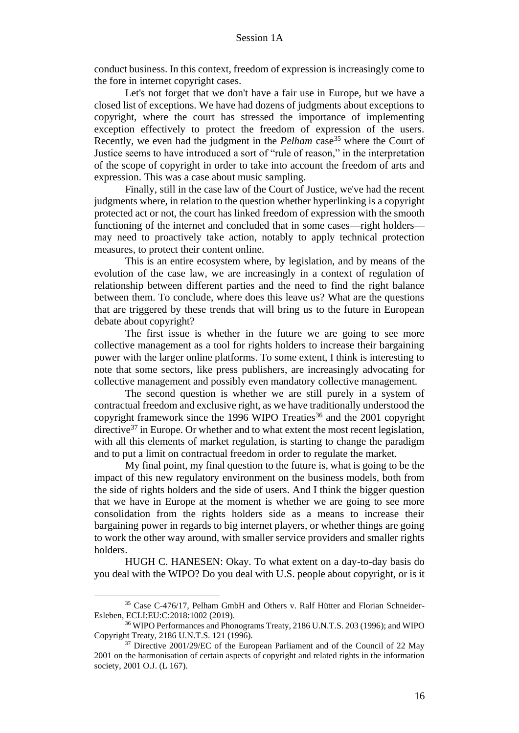conduct business. In this context, freedom of expression is increasingly come to the fore in internet copyright cases.

Let's not forget that we don't have a fair use in Europe, but we have a closed list of exceptions. We have had dozens of judgments about exceptions to copyright, where the court has stressed the importance of implementing exception effectively to protect the freedom of expression of the users. Recently, we even had the judgment in the *Pelham* case<sup>35</sup> where the Court of Justice seems to have introduced a sort of "rule of reason," in the interpretation of the scope of copyright in order to take into account the freedom of arts and expression. This was a case about music sampling.

Finally, still in the case law of the Court of Justice, we've had the recent judgments where, in relation to the question whether hyperlinking is a copyright protected act or not, the court has linked freedom of expression with the smooth functioning of the internet and concluded that in some cases—right holders may need to proactively take action, notably to apply technical protection measures, to protect their content online.

This is an entire ecosystem where, by legislation, and by means of the evolution of the case law, we are increasingly in a context of regulation of relationship between different parties and the need to find the right balance between them. To conclude, where does this leave us? What are the questions that are triggered by these trends that will bring us to the future in European debate about copyright?

The first issue is whether in the future we are going to see more collective management as a tool for rights holders to increase their bargaining power with the larger online platforms. To some extent, I think is interesting to note that some sectors, like press publishers, are increasingly advocating for collective management and possibly even mandatory collective management.

The second question is whether we are still purely in a system of contractual freedom and exclusive right, as we have traditionally understood the copyright framework since the 1996 WIPO Treaties<sup>36</sup> and the 2001 copyright directive $37$  in Europe. Or whether and to what extent the most recent legislation, with all this elements of market regulation, is starting to change the paradigm and to put a limit on contractual freedom in order to regulate the market.

My final point, my final question to the future is, what is going to be the impact of this new regulatory environment on the business models, both from the side of rights holders and the side of users. And I think the bigger question that we have in Europe at the moment is whether we are going to see more consolidation from the rights holders side as a means to increase their bargaining power in regards to big internet players, or whether things are going to work the other way around, with smaller service providers and smaller rights holders.

HUGH C. HANESEN: Okay. To what extent on a day-to-day basis do you deal with the WIPO? Do you deal with U.S. people about copyright, or is it

<sup>35</sup> Case C-476/17, Pelham GmbH and Others v. Ralf Hütter and Florian Schneider-Esleben, ECLI:EU:C:2018:1002 (2019).

<sup>36</sup> WIPO Performances and Phonograms Treaty, 2186 U.N.T.S. 203 (1996); and WIPO Copyright Treaty, 2186 U.N.T.S. 121 (1996).

<sup>&</sup>lt;sup>37</sup> Directive 2001/29/EC of the European Parliament and of the Council of 22 May 2001 on the harmonisation of certain aspects of copyright and related rights in the information society, 2001 O.J. (L 167).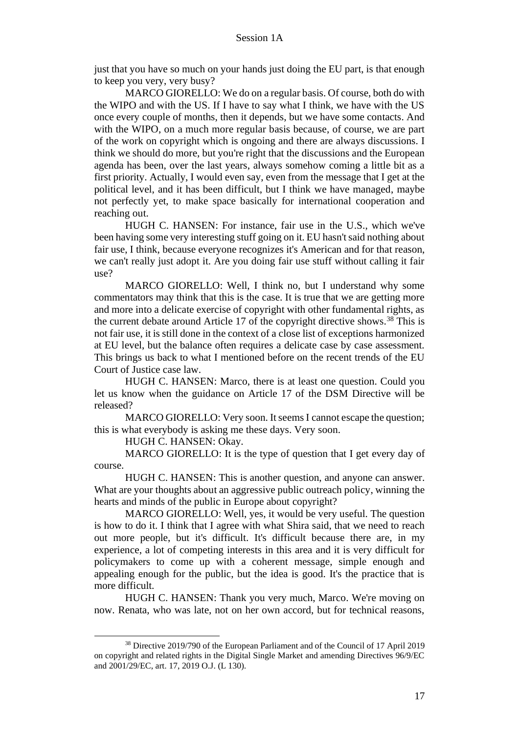just that you have so much on your hands just doing the EU part, is that enough to keep you very, very busy?

MARCO GIORELLO: We do on a regular basis. Of course, both do with the WIPO and with the US. If I have to say what I think, we have with the US once every couple of months, then it depends, but we have some contacts. And with the WIPO, on a much more regular basis because, of course, we are part of the work on copyright which is ongoing and there are always discussions. I think we should do more, but you're right that the discussions and the European agenda has been, over the last years, always somehow coming a little bit as a first priority. Actually, I would even say, even from the message that I get at the political level, and it has been difficult, but I think we have managed, maybe not perfectly yet, to make space basically for international cooperation and reaching out.

HUGH C. HANSEN: For instance, fair use in the U.S., which we've been having some very interesting stuff going on it. EU hasn't said nothing about fair use, I think, because everyone recognizes it's American and for that reason, we can't really just adopt it. Are you doing fair use stuff without calling it fair use?

MARCO GIORELLO: Well, I think no, but I understand why some commentators may think that this is the case. It is true that we are getting more and more into a delicate exercise of copyright with other fundamental rights, as the current debate around Article 17 of the copyright directive shows.<sup>38</sup> This is not fair use, it is still done in the context of a close list of exceptions harmonized at EU level, but the balance often requires a delicate case by case assessment. This brings us back to what I mentioned before on the recent trends of the EU Court of Justice case law.

HUGH C. HANSEN: Marco, there is at least one question. Could you let us know when the guidance on Article 17 of the DSM Directive will be released?

MARCO GIORELLO: Very soon. It seems I cannot escape the question; this is what everybody is asking me these days. Very soon.

HUGH C. HANSEN: Okay.

MARCO GIORELLO: It is the type of question that I get every day of course.

HUGH C. HANSEN: This is another question, and anyone can answer. What are your thoughts about an aggressive public outreach policy, winning the hearts and minds of the public in Europe about copyright?

MARCO GIORELLO: Well, yes, it would be very useful. The question is how to do it. I think that I agree with what Shira said, that we need to reach out more people, but it's difficult. It's difficult because there are, in my experience, a lot of competing interests in this area and it is very difficult for policymakers to come up with a coherent message, simple enough and appealing enough for the public, but the idea is good. It's the practice that is more difficult.

HUGH C. HANSEN: Thank you very much, Marco. We're moving on now. Renata, who was late, not on her own accord, but for technical reasons,

<sup>38</sup> Directive 2019/790 of the European Parliament and of the Council of 17 April 2019 on copyright and related rights in the Digital Single Market and amending Directives 96/9/EC and 2001/29/EC, art. 17, 2019 O.J. (L 130).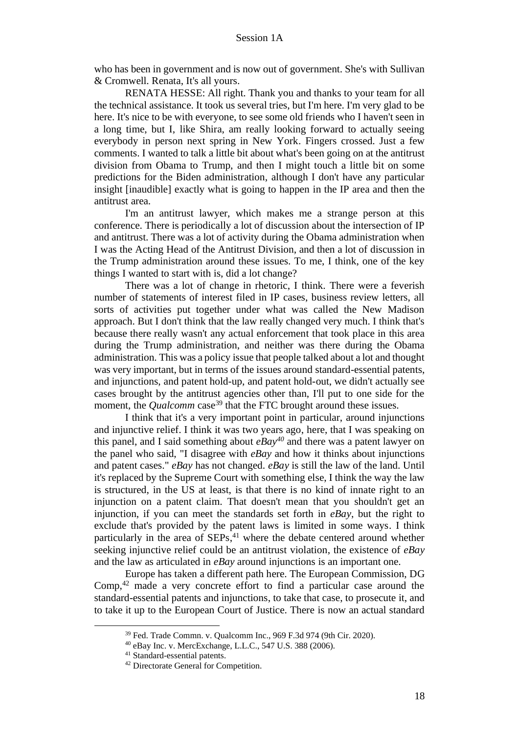who has been in government and is now out of government. She's with Sullivan & Cromwell. Renata, It's all yours.

RENATA HESSE: All right. Thank you and thanks to your team for all the technical assistance. It took us several tries, but I'm here. I'm very glad to be here. It's nice to be with everyone, to see some old friends who I haven't seen in a long time, but I, like Shira, am really looking forward to actually seeing everybody in person next spring in New York. Fingers crossed. Just a few comments. I wanted to talk a little bit about what's been going on at the antitrust division from Obama to Trump, and then I might touch a little bit on some predictions for the Biden administration, although I don't have any particular insight [inaudible] exactly what is going to happen in the IP area and then the antitrust area.

I'm an antitrust lawyer, which makes me a strange person at this conference. There is periodically a lot of discussion about the intersection of IP and antitrust. There was a lot of activity during the Obama administration when I was the Acting Head of the Antitrust Division, and then a lot of discussion in the Trump administration around these issues. To me, I think, one of the key things I wanted to start with is, did a lot change?

There was a lot of change in rhetoric, I think. There were a feverish number of statements of interest filed in IP cases, business review letters, all sorts of activities put together under what was called the New Madison approach. But I don't think that the law really changed very much. I think that's because there really wasn't any actual enforcement that took place in this area during the Trump administration, and neither was there during the Obama administration. This was a policy issue that people talked about a lot and thought was very important, but in terms of the issues around standard-essential patents, and injunctions, and patent hold-up, and patent hold-out, we didn't actually see cases brought by the antitrust agencies other than, I'll put to one side for the moment, the *Qualcomm* case<sup>39</sup> that the FTC brought around these issues.

I think that it's a very important point in particular, around injunctions and injunctive relief. I think it was two years ago, here, that I was speaking on this panel, and I said something about *eBay<sup>40</sup>* and there was a patent lawyer on the panel who said, "I disagree with *eBay* and how it thinks about injunctions and patent cases." *eBay* has not changed. *eBay* is still the law of the land. Until it's replaced by the Supreme Court with something else, I think the way the law is structured, in the US at least, is that there is no kind of innate right to an injunction on a patent claim. That doesn't mean that you shouldn't get an injunction, if you can meet the standards set forth in *eBay*, but the right to exclude that's provided by the patent laws is limited in some ways. I think particularly in the area of SEPs, <sup>41</sup> where the debate centered around whether seeking injunctive relief could be an antitrust violation, the existence of *eBay* and the law as articulated in *eBay* around injunctions is an important one.

Europe has taken a different path here. The European Commission, DG Comp, <sup>42</sup> made a very concrete effort to find a particular case around the standard-essential patents and injunctions, to take that case, to prosecute it, and to take it up to the European Court of Justice. There is now an actual standard

<sup>39</sup> Fed. Trade Commn. v. Qualcomm Inc., 969 F.3d 974 (9th Cir. 2020).

<sup>40</sup> eBay Inc. v. MercExchange, L.L.C., 547 U.S. 388 (2006).

<sup>41</sup> Standard-essential patents.

<sup>42</sup> Directorate General for Competition.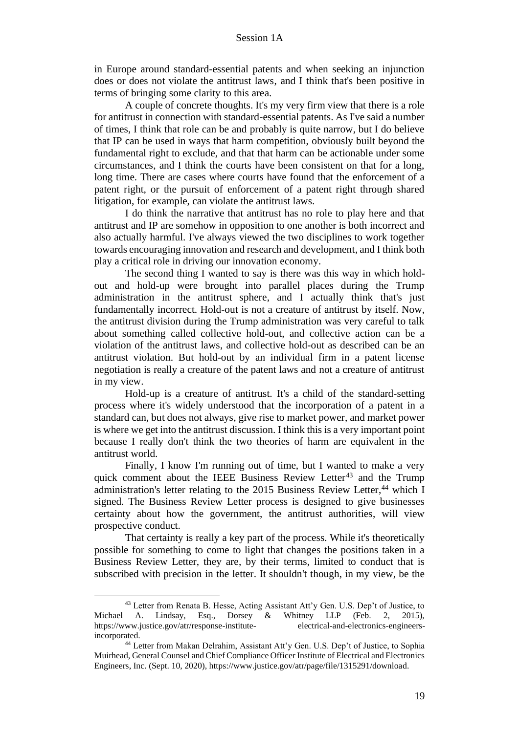in Europe around standard-essential patents and when seeking an injunction does or does not violate the antitrust laws, and I think that's been positive in terms of bringing some clarity to this area.

A couple of concrete thoughts. It's my very firm view that there is a role for antitrust in connection with standard-essential patents. As I've said a number of times, I think that role can be and probably is quite narrow, but I do believe that IP can be used in ways that harm competition, obviously built beyond the fundamental right to exclude, and that that harm can be actionable under some circumstances, and I think the courts have been consistent on that for a long, long time. There are cases where courts have found that the enforcement of a patent right, or the pursuit of enforcement of a patent right through shared litigation, for example, can violate the antitrust laws.

I do think the narrative that antitrust has no role to play here and that antitrust and IP are somehow in opposition to one another is both incorrect and also actually harmful. I've always viewed the two disciplines to work together towards encouraging innovation and research and development, and I think both play a critical role in driving our innovation economy.

The second thing I wanted to say is there was this way in which holdout and hold-up were brought into parallel places during the Trump administration in the antitrust sphere, and I actually think that's just fundamentally incorrect. Hold-out is not a creature of antitrust by itself. Now, the antitrust division during the Trump administration was very careful to talk about something called collective hold-out, and collective action can be a violation of the antitrust laws, and collective hold-out as described can be an antitrust violation. But hold-out by an individual firm in a patent license negotiation is really a creature of the patent laws and not a creature of antitrust in my view.

Hold-up is a creature of antitrust. It's a child of the standard-setting process where it's widely understood that the incorporation of a patent in a standard can, but does not always, give rise to market power, and market power is where we get into the antitrust discussion. I think this is a very important point because I really don't think the two theories of harm are equivalent in the antitrust world.

Finally, I know I'm running out of time, but I wanted to make a very quick comment about the IEEE Business Review Letter<sup>43</sup> and the Trump administration's letter relating to the 2015 Business Review Letter,<sup>44</sup> which I signed. The Business Review Letter process is designed to give businesses certainty about how the government, the antitrust authorities, will view prospective conduct.

That certainty is really a key part of the process. While it's theoretically possible for something to come to light that changes the positions taken in a Business Review Letter, they are, by their terms, limited to conduct that is subscribed with precision in the letter. It shouldn't though, in my view, be the

<sup>43</sup> Letter from Renata B. Hesse, Acting Assistant Att'y Gen. U.S. Dep't of Justice, to Michael A. Lindsay, Esq., Dorsey & Whitney LLP (Feb. 2, 2015), https://www.justice.gov/atr/response-institute- electrical-and-electronics-engineersincorporated.

<sup>44</sup> Letter from Makan Delrahim, Assistant Att'y Gen. U.S. Dep't of Justice, to Sophia Muirhead, General Counsel and Chief Compliance Officer Institute of Electrical and Electronics Engineers, Inc. (Sept. 10, 2020), https://www.justice.gov/atr/page/file/1315291/download.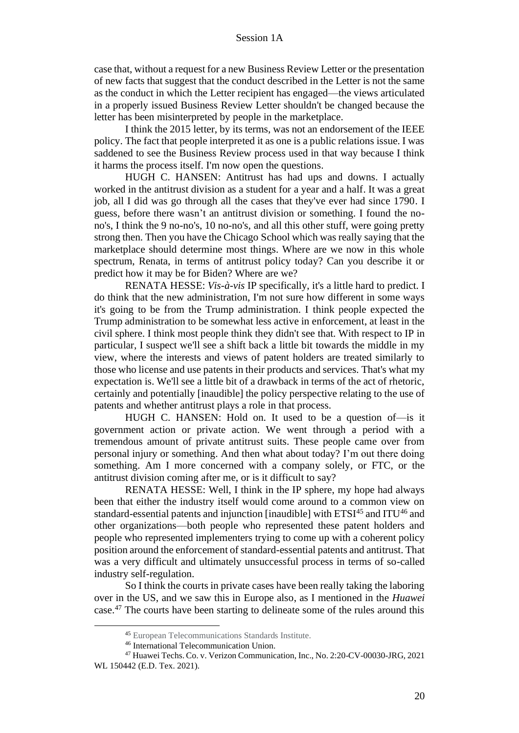case that, without a request for a new Business Review Letter or the presentation of new facts that suggest that the conduct described in the Letter is not the same as the conduct in which the Letter recipient has engaged—the views articulated in a properly issued Business Review Letter shouldn't be changed because the letter has been misinterpreted by people in the marketplace.

I think the 2015 letter, by its terms, was not an endorsement of the IEEE policy. The fact that people interpreted it as one is a public relations issue. I was saddened to see the Business Review process used in that way because I think it harms the process itself. I'm now open the questions.

HUGH C. HANSEN: Antitrust has had ups and downs. I actually worked in the antitrust division as a student for a year and a half. It was a great job, all I did was go through all the cases that they've ever had since 1790. I guess, before there wasn't an antitrust division or something. I found the nono's, I think the 9 no-no's, 10 no-no's, and all this other stuff, were going pretty strong then. Then you have the Chicago School which was really saying that the marketplace should determine most things. Where are we now in this whole spectrum, Renata, in terms of antitrust policy today? Can you describe it or predict how it may be for Biden? Where are we?

RENATA HESSE: *Vis-à-vis* IP specifically, it's a little hard to predict. I do think that the new administration, I'm not sure how different in some ways it's going to be from the Trump administration. I think people expected the Trump administration to be somewhat less active in enforcement, at least in the civil sphere. I think most people think they didn't see that. With respect to IP in particular, I suspect we'll see a shift back a little bit towards the middle in my view, where the interests and views of patent holders are treated similarly to those who license and use patents in their products and services. That's what my expectation is. We'll see a little bit of a drawback in terms of the act of rhetoric, certainly and potentially [inaudible] the policy perspective relating to the use of patents and whether antitrust plays a role in that process.

HUGH C. HANSEN: Hold on. It used to be a question of—is it government action or private action. We went through a period with a tremendous amount of private antitrust suits. These people came over from personal injury or something. And then what about today? I'm out there doing something. Am I more concerned with a company solely, or FTC, or the antitrust division coming after me, or is it difficult to say?

RENATA HESSE: Well, I think in the IP sphere, my hope had always been that either the industry itself would come around to a common view on standard-essential patents and injunction [inaudible] with  $ETSI<sup>45</sup>$  and  $ITU<sup>46</sup>$  and other organizations—both people who represented these patent holders and people who represented implementers trying to come up with a coherent policy position around the enforcement of standard-essential patents and antitrust. That was a very difficult and ultimately unsuccessful process in terms of so-called industry self-regulation.

So I think the courts in private cases have been really taking the laboring over in the US, and we saw this in Europe also, as I mentioned in the *Huawei* case.<sup>47</sup> The courts have been starting to delineate some of the rules around this

<sup>45</sup> European Telecommunications Standards Institute.

<sup>46</sup> International Telecommunication Union.

<sup>47</sup> Huawei Techs. Co. v. Verizon Communication, Inc., No. 2:20-CV-00030-JRG, 2021 WL 150442 (E.D. Tex. 2021).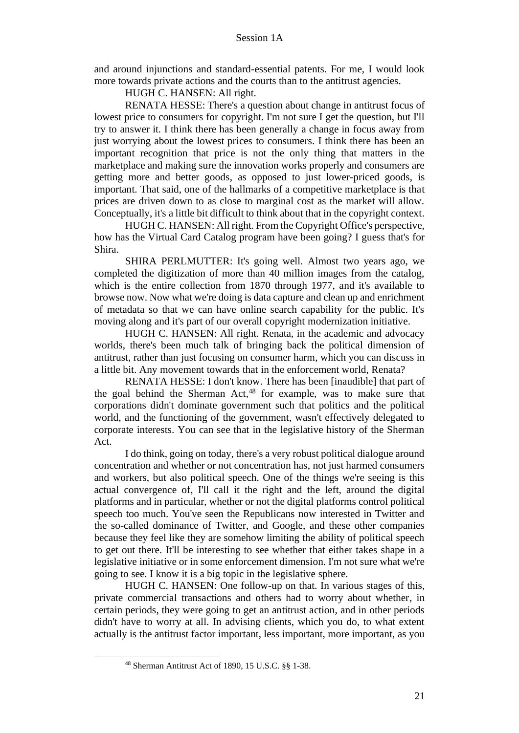and around injunctions and standard-essential patents. For me, I would look more towards private actions and the courts than to the antitrust agencies.

HUGH C. HANSEN: All right.

RENATA HESSE: There's a question about change in antitrust focus of lowest price to consumers for copyright. I'm not sure I get the question, but I'll try to answer it. I think there has been generally a change in focus away from just worrying about the lowest prices to consumers. I think there has been an important recognition that price is not the only thing that matters in the marketplace and making sure the innovation works properly and consumers are getting more and better goods, as opposed to just lower-priced goods, is important. That said, one of the hallmarks of a competitive marketplace is that prices are driven down to as close to marginal cost as the market will allow. Conceptually, it's a little bit difficult to think about that in the copyright context.

HUGH C. HANSEN: All right. From the Copyright Office's perspective, how has the Virtual Card Catalog program have been going? I guess that's for Shira.

SHIRA PERLMUTTER: It's going well. Almost two years ago, we completed the digitization of more than 40 million images from the catalog, which is the entire collection from 1870 through 1977, and it's available to browse now. Now what we're doing is data capture and clean up and enrichment of metadata so that we can have online search capability for the public. It's moving along and it's part of our overall copyright modernization initiative.

HUGH C. HANSEN: All right. Renata, in the academic and advocacy worlds, there's been much talk of bringing back the political dimension of antitrust, rather than just focusing on consumer harm, which you can discuss in a little bit. Any movement towards that in the enforcement world, Renata?

RENATA HESSE: I don't know. There has been [inaudible] that part of the goal behind the Sherman Act, <sup>48</sup> for example, was to make sure that corporations didn't dominate government such that politics and the political world, and the functioning of the government, wasn't effectively delegated to corporate interests. You can see that in the legislative history of the Sherman Act.

I do think, going on today, there's a very robust political dialogue around concentration and whether or not concentration has, not just harmed consumers and workers, but also political speech. One of the things we're seeing is this actual convergence of, I'll call it the right and the left, around the digital platforms and in particular, whether or not the digital platforms control political speech too much. You've seen the Republicans now interested in Twitter and the so-called dominance of Twitter, and Google, and these other companies because they feel like they are somehow limiting the ability of political speech to get out there. It'll be interesting to see whether that either takes shape in a legislative initiative or in some enforcement dimension. I'm not sure what we're going to see. I know it is a big topic in the legislative sphere.

HUGH C. HANSEN: One follow-up on that. In various stages of this, private commercial transactions and others had to worry about whether, in certain periods, they were going to get an antitrust action, and in other periods didn't have to worry at all. In advising clients, which you do, to what extent actually is the antitrust factor important, less important, more important, as you

<sup>48</sup> Sherman Antitrust Act of 1890, 15 U.S.C. §§ 1-38.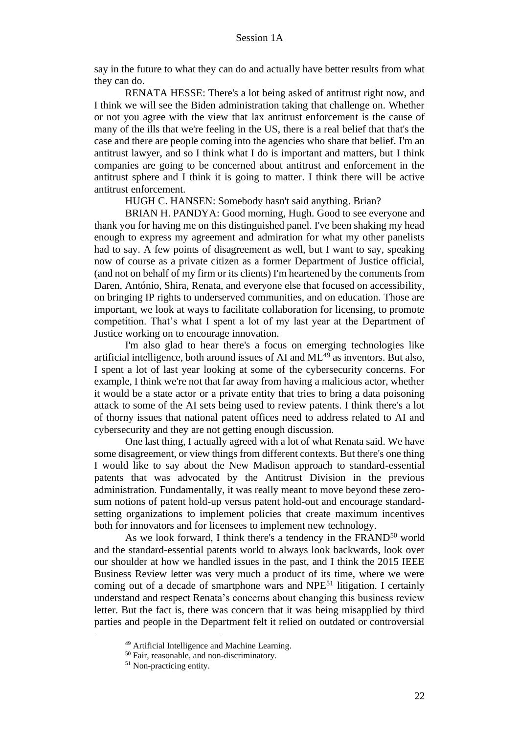say in the future to what they can do and actually have better results from what they can do.

RENATA HESSE: There's a lot being asked of antitrust right now, and I think we will see the Biden administration taking that challenge on. Whether or not you agree with the view that lax antitrust enforcement is the cause of many of the ills that we're feeling in the US, there is a real belief that that's the case and there are people coming into the agencies who share that belief. I'm an antitrust lawyer, and so I think what I do is important and matters, but I think companies are going to be concerned about antitrust and enforcement in the antitrust sphere and I think it is going to matter. I think there will be active antitrust enforcement.

HUGH C. HANSEN: Somebody hasn't said anything. Brian?

BRIAN H. PANDYA: Good morning, Hugh. Good to see everyone and thank you for having me on this distinguished panel. I've been shaking my head enough to express my agreement and admiration for what my other panelists had to say. A few points of disagreement as well, but I want to say, speaking now of course as a private citizen as a former Department of Justice official, (and not on behalf of my firm or its clients) I'm heartened by the comments from Daren, António, Shira, Renata, and everyone else that focused on accessibility, on bringing IP rights to underserved communities, and on education. Those are important, we look at ways to facilitate collaboration for licensing, to promote competition. That's what I spent a lot of my last year at the Department of Justice working on to encourage innovation.

I'm also glad to hear there's a focus on emerging technologies like artificial intelligence, both around issues of AI and  $ML^{49}$  as inventors. But also, I spent a lot of last year looking at some of the cybersecurity concerns. For example, I think we're not that far away from having a malicious actor, whether it would be a state actor or a private entity that tries to bring a data poisoning attack to some of the AI sets being used to review patents. I think there's a lot of thorny issues that national patent offices need to address related to AI and cybersecurity and they are not getting enough discussion.

One last thing, I actually agreed with a lot of what Renata said. We have some disagreement, or view things from different contexts. But there's one thing I would like to say about the New Madison approach to standard-essential patents that was advocated by the Antitrust Division in the previous administration. Fundamentally, it was really meant to move beyond these zerosum notions of patent hold-up versus patent hold-out and encourage standardsetting organizations to implement policies that create maximum incentives both for innovators and for licensees to implement new technology.

As we look forward, I think there's a tendency in the FRAND<sup>50</sup> world and the standard-essential patents world to always look backwards, look over our shoulder at how we handled issues in the past, and I think the 2015 IEEE Business Review letter was very much a product of its time, where we were coming out of a decade of smartphone wars and NPE<sup>51</sup> litigation. I certainly understand and respect Renata's concerns about changing this business review letter. But the fact is, there was concern that it was being misapplied by third parties and people in the Department felt it relied on outdated or controversial

<sup>49</sup> Artificial Intelligence and Machine Learning.

<sup>50</sup> Fair, reasonable, and non-discriminatory.

<sup>&</sup>lt;sup>51</sup> Non-practicing entity.